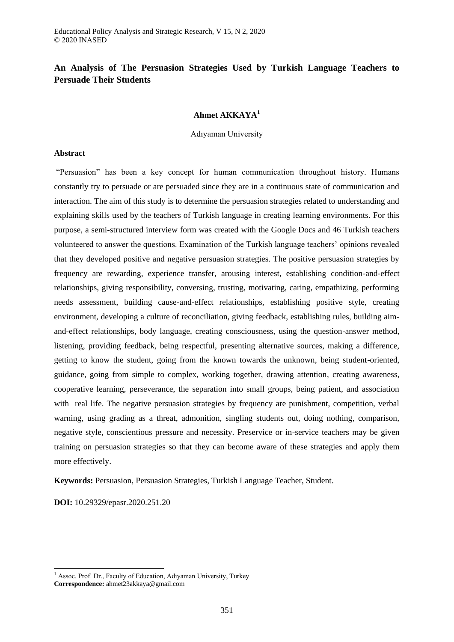# **An Analysis of The Persuasion Strategies Used by Turkish Language Teachers to Persuade Their Students**

# **Ahmet AKKAYA<sup>1</sup>**

Adıyaman University

### **Abstract**

"Persuasion" has been a key concept for human communication throughout history. Humans constantly try to persuade or are persuaded since they are in a continuous state of communication and interaction. The aim of this study is to determine the persuasion strategies related to understanding and explaining skills used by the teachers of Turkish language in creating learning environments. For this purpose, a semi-structured interview form was created with the Google Docs and 46 Turkish teachers volunteered to answer the questions. Examination of the Turkish language teachers' opinions revealed that they developed positive and negative persuasion strategies. The positive persuasion strategies by frequency are rewarding, experience transfer, arousing interest, establishing condition-and-effect relationships, giving responsibility, conversing, trusting, motivating, caring, empathizing, performing needs assessment, building cause-and-effect relationships, establishing positive style, creating environment, developing a culture of reconciliation, giving feedback, establishing rules, building aimand-effect relationships, body language, creating consciousness, using the question-answer method, listening, providing feedback, being respectful, presenting alternative sources, making a difference, getting to know the student, going from the known towards the unknown, being student-oriented, guidance, going from simple to complex, working together, drawing attention, creating awareness, cooperative learning, perseverance, the separation into small groups, being patient, and association with real life. The negative persuasion strategies by frequency are punishment, competition, verbal warning, using grading as a threat, admonition, singling students out, doing nothing, comparison, negative style, conscientious pressure and necessity. Preservice or in-service teachers may be given training on persuasion strategies so that they can become aware of these strategies and apply them more effectively.

**Keywords:** Persuasion, Persuasion Strategies, Turkish Language Teacher, Student.

**DOI:** 10.29329/epasr.2020.251.20

1

 $<sup>1</sup>$  Assoc. Prof. Dr., Faculty of Education, Adıyaman University, Turkey</sup> **Correspondence:** ahmet23akkaya@gmail.com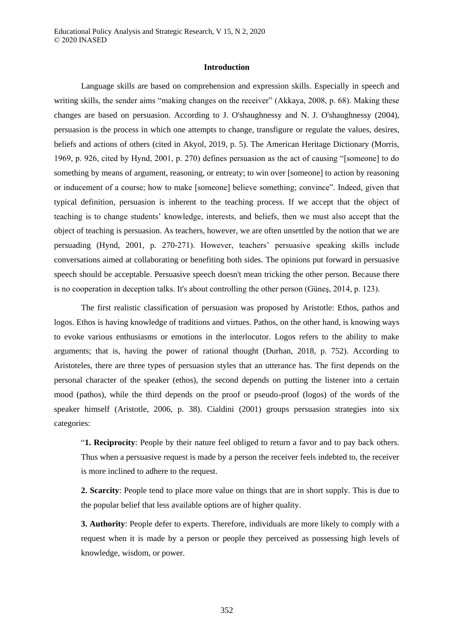## **Introduction**

Language skills are based on comprehension and expression skills. Especially in speech and writing skills, the sender aims "making changes on the receiver" (Akkaya, 2008, p. 68). Making these changes are based on persuasion. According to J. O'shaughnessy and N. J. O'shaughnessy (2004), persuasion is the process in which one attempts to change, transfigure or regulate the values, desires, beliefs and actions of others (cited in Akyol, 2019, p. 5). The American Heritage Dictionary (Morris, 1969, p. 926, cited by Hynd, 2001, p. 270) defines persuasion as the act of causing "[someone] to do something by means of argument, reasoning, or entreaty; to win over [someone] to action by reasoning or inducement of a course; how to make [someone] believe something; convince". Indeed, given that typical definition, persuasion is inherent to the teaching process. If we accept that the object of teaching is to change students' knowledge, interests, and beliefs, then we must also accept that the object of teaching is persuasion. As teachers, however, we are often unsettled by the notion that we are persuading (Hynd, 2001, p. 270-271). However, teachers' persuasive speaking skills include conversations aimed at collaborating or benefiting both sides. The opinions put forward in persuasive speech should be acceptable. Persuasive speech doesn't mean tricking the other person. Because there is no cooperation in deception talks. It's about controlling the other person (Güneş, 2014, p. 123).

The first realistic classification of persuasion was proposed by Aristotle: Ethos, pathos and logos. Ethos is having knowledge of traditions and virtues. Pathos, on the other hand, is knowing ways to evoke various enthusiasms or emotions in the interlocutor. Logos refers to the ability to make arguments; that is, having the power of rational thought (Durhan, 2018, p. 752). According to Aristoteles, there are three types of persuasion styles that an utterance has. The first depends on the personal character of the speaker (ethos), the second depends on putting the listener into a certain mood (pathos), while the third depends on the proof or pseudo-proof (logos) of the words of the speaker himself (Aristotle, 2006, p. 38). Cialdini (2001) groups persuasion strategies into six categories:

"**1. Reciprocity**: People by their nature feel obliged to return a favor and to pay back others. Thus when a persuasive request is made by a person the receiver feels indebted to, the receiver is more inclined to adhere to the request.

**2. Scarcity**: People tend to place more value on things that are in short supply. This is due to the popular belief that less available options are of higher quality.

**3. Authority**: People defer to experts. Therefore, individuals are more likely to comply with a request when it is made by a person or people they perceived as possessing high levels of knowledge, wisdom, or power.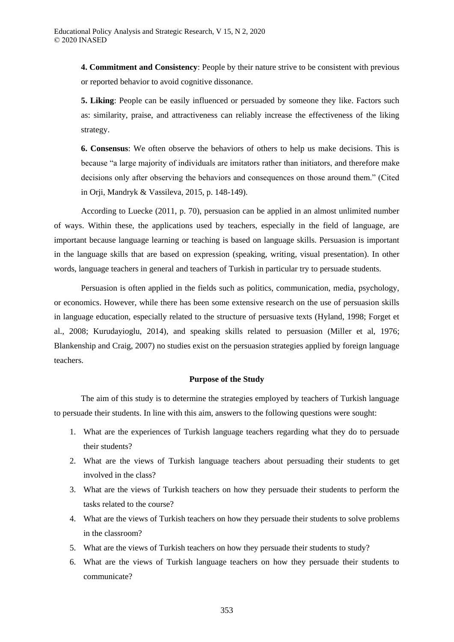**4. Commitment and Consistency**: People by their nature strive to be consistent with previous or reported behavior to avoid cognitive dissonance.

**5. Liking**: People can be easily influenced or persuaded by someone they like. Factors such as: similarity, praise, and attractiveness can reliably increase the effectiveness of the liking strategy.

**6. Consensus**: We often observe the behaviors of others to help us make decisions. This is because "a large majority of individuals are imitators rather than initiators, and therefore make decisions only after observing the behaviors and consequences on those around them." (Cited in Orji, Mandryk & Vassileva, 2015, p. 148-149).

According to Luecke (2011, p. 70), persuasion can be applied in an almost unlimited number of ways. Within these, the applications used by teachers, especially in the field of language, are important because language learning or teaching is based on language skills. Persuasion is important in the language skills that are based on expression (speaking, writing, visual presentation). In other words, language teachers in general and teachers of Turkish in particular try to persuade students.

Persuasion is often applied in the fields such as politics, communication, media, psychology, or economics. However, while there has been some extensive research on the use of persuasion skills in language education, especially related to the structure of persuasive texts (Hyland, 1998; Forget et al., 2008; Kurudayioglu, 2014), and speaking skills related to persuasion (Miller et al, 1976; Blankenship and Craig, 2007) no studies exist on the persuasion strategies applied by foreign language teachers.

## **Purpose of the Study**

The aim of this study is to determine the strategies employed by teachers of Turkish language to persuade their students. In line with this aim, answers to the following questions were sought:

- 1. What are the experiences of Turkish language teachers regarding what they do to persuade their students?
- 2. What are the views of Turkish language teachers about persuading their students to get involved in the class?
- 3. What are the views of Turkish teachers on how they persuade their students to perform the tasks related to the course?
- 4. What are the views of Turkish teachers on how they persuade their students to solve problems in the classroom?
- 5. What are the views of Turkish teachers on how they persuade their students to study?
- 6. What are the views of Turkish language teachers on how they persuade their students to communicate?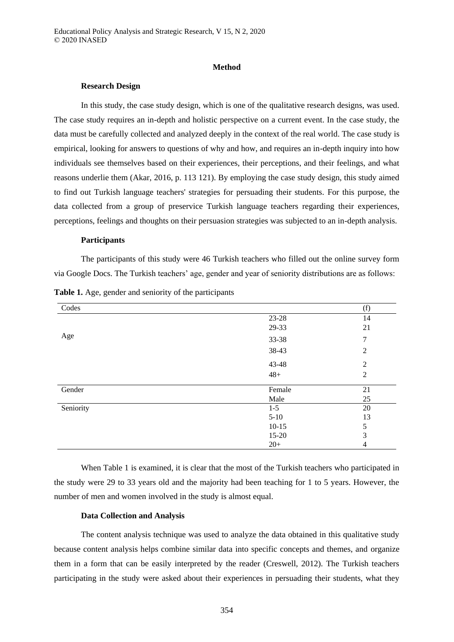### **Method**

## **Research Design**

In this study, the case study design, which is one of the qualitative research designs, was used. The case study requires an in-depth and holistic perspective on a current event. In the case study, the data must be carefully collected and analyzed deeply in the context of the real world. The case study is empirical, looking for answers to questions of why and how, and requires an in-depth inquiry into how individuals see themselves based on their experiences, their perceptions, and their feelings, and what reasons underlie them (Akar, 2016, p. 113 121). By employing the case study design, this study aimed to find out Turkish language teachers' strategies for persuading their students. For this purpose, the data collected from a group of preservice Turkish language teachers regarding their experiences, perceptions, feelings and thoughts on their persuasion strategies was subjected to an in-depth analysis.

## **Participants**

The participants of this study were 46 Turkish teachers who filled out the online survey form via Google Docs. The Turkish teachers' age, gender and year of seniority distributions are as follows:

| Codes     |         | (f)            |
|-----------|---------|----------------|
|           | 23-28   | 14             |
|           | 29-33   | 21             |
| Age       | 33-38   | 7              |
|           | 38-43   | 2              |
|           | 43-48   | $\overline{2}$ |
|           | $48+$   | $\overline{2}$ |
| Gender    | Female  | 21             |
|           | Male    | 25             |
| Seniority | $1 - 5$ | 20             |
|           | $5-10$  | 13             |
|           | $10-15$ | 5              |
|           | $15-20$ | 3              |
|           | $20+$   | 4              |

**Table 1.** Age, gender and seniority of the participants

When Table 1 is examined, it is clear that the most of the Turkish teachers who participated in the study were 29 to 33 years old and the majority had been teaching for 1 to 5 years. However, the number of men and women involved in the study is almost equal.

### **Data Collection and Analysis**

The content analysis technique was used to analyze the data obtained in this qualitative study because content analysis helps combine similar data into specific concepts and themes, and organize them in a form that can be easily interpreted by the reader (Creswell, 2012). The Turkish teachers participating in the study were asked about their experiences in persuading their students, what they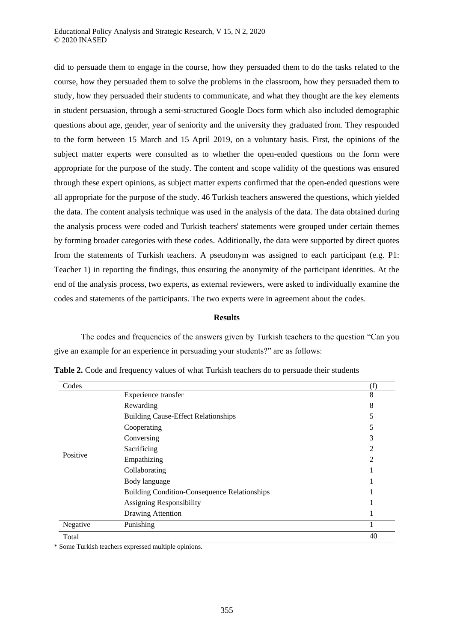did to persuade them to engage in the course, how they persuaded them to do the tasks related to the course, how they persuaded them to solve the problems in the classroom, how they persuaded them to study, how they persuaded their students to communicate, and what they thought are the key elements in student persuasion, through a semi-structured Google Docs form which also included demographic questions about age, gender, year of seniority and the university they graduated from. They responded to the form between 15 March and 15 April 2019, on a voluntary basis. First, the opinions of the subject matter experts were consulted as to whether the open-ended questions on the form were appropriate for the purpose of the study. The content and scope validity of the questions was ensured through these expert opinions, as subject matter experts confirmed that the open-ended questions were all appropriate for the purpose of the study. 46 Turkish teachers answered the questions, which yielded the data. The content analysis technique was used in the analysis of the data. The data obtained during the analysis process were coded and Turkish teachers' statements were grouped under certain themes by forming broader categories with these codes. Additionally, the data were supported by direct quotes from the statements of Turkish teachers. A pseudonym was assigned to each participant (e.g. P1: Teacher 1) in reporting the findings, thus ensuring the anonymity of the participant identities. At the end of the analysis process, two experts, as external reviewers, were asked to individually examine the codes and statements of the participants. The two experts were in agreement about the codes.

#### **Results**

The codes and frequencies of the answers given by Turkish teachers to the question "Can you give an example for an experience in persuading your students?" are as follows:

| Codes    |                                                     | (f) |
|----------|-----------------------------------------------------|-----|
|          | Experience transfer                                 | 8   |
|          | Rewarding                                           | 8   |
|          | <b>Building Cause-Effect Relationships</b>          | 5   |
|          | Cooperating                                         | 5   |
|          | Conversing                                          | 3   |
|          | Sacrificing                                         | 2   |
| Positive | Empathizing                                         | 2   |
|          | Collaborating                                       |     |
|          | Body language                                       |     |
|          | <b>Building Condition-Consequence Relationships</b> |     |
|          | <b>Assigning Responsibility</b>                     |     |
|          | Drawing Attention                                   |     |
| Negative | Punishing                                           | T   |
| Total    |                                                     | 40  |
|          |                                                     |     |

**Table 2.** Code and frequency values of what Turkish teachers do to persuade their students

\* Some Turkish teachers expressed multiple opinions.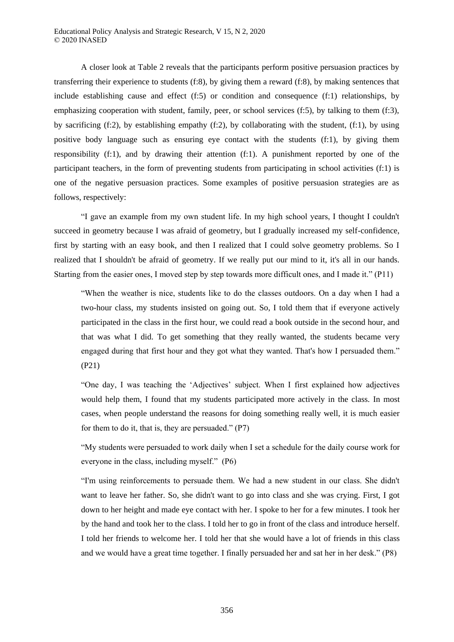A closer look at Table 2 reveals that the participants perform positive persuasion practices by transferring their experience to students (f:8), by giving them a reward (f:8), by making sentences that include establishing cause and effect (f:5) or condition and consequence (f:1) relationships, by emphasizing cooperation with student, family, peer, or school services (f:5), by talking to them (f:3), by sacrificing  $(f:2)$ , by establishing empathy  $(f:2)$ , by collaborating with the student,  $(f:1)$ , by using positive body language such as ensuring eye contact with the students (f:1), by giving them responsibility (f:1), and by drawing their attention (f:1). A punishment reported by one of the participant teachers, in the form of preventing students from participating in school activities (f:1) is one of the negative persuasion practices. Some examples of positive persuasion strategies are as follows, respectively:

"I gave an example from my own student life. In my high school years, I thought I couldn't succeed in geometry because I was afraid of geometry, but I gradually increased my self-confidence, first by starting with an easy book, and then I realized that I could solve geometry problems. So I realized that I shouldn't be afraid of geometry. If we really put our mind to it, it's all in our hands. Starting from the easier ones, I moved step by step towards more difficult ones, and I made it." (P11)

"When the weather is nice, students like to do the classes outdoors. On a day when I had a two-hour class, my students insisted on going out. So, I told them that if everyone actively participated in the class in the first hour, we could read a book outside in the second hour, and that was what I did. To get something that they really wanted, the students became very engaged during that first hour and they got what they wanted. That's how I persuaded them." (P21)

"One day, I was teaching the 'Adjectives' subject. When I first explained how adjectives would help them, I found that my students participated more actively in the class. In most cases, when people understand the reasons for doing something really well, it is much easier for them to do it, that is, they are persuaded." (P7)

"My students were persuaded to work daily when I set a schedule for the daily course work for everyone in the class, including myself." (P6)

"I'm using reinforcements to persuade them. We had a new student in our class. She didn't want to leave her father. So, she didn't want to go into class and she was crying. First, I got down to her height and made eye contact with her. I spoke to her for a few minutes. I took her by the hand and took her to the class. I told her to go in front of the class and introduce herself. I told her friends to welcome her. I told her that she would have a lot of friends in this class and we would have a great time together. I finally persuaded her and sat her in her desk." (P8)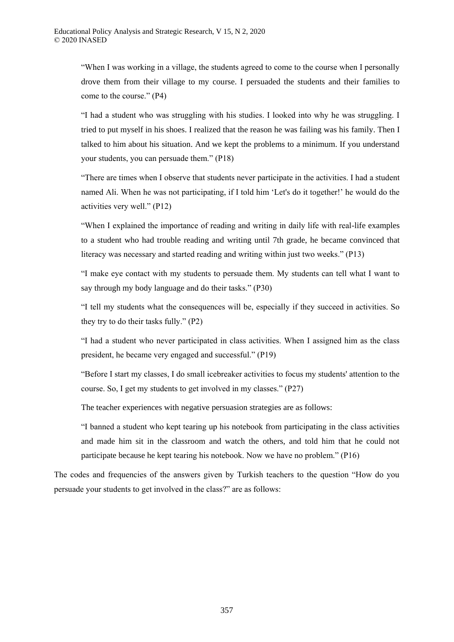"When I was working in a village, the students agreed to come to the course when I personally drove them from their village to my course. I persuaded the students and their families to come to the course." (P4)

"I had a student who was struggling with his studies. I looked into why he was struggling. I tried to put myself in his shoes. I realized that the reason he was failing was his family. Then I talked to him about his situation. And we kept the problems to a minimum. If you understand your students, you can persuade them." (P18)

"There are times when I observe that students never participate in the activities. I had a student named Ali. When he was not participating, if I told him 'Let's do it together!' he would do the activities very well." (P12)

"When I explained the importance of reading and writing in daily life with real-life examples to a student who had trouble reading and writing until 7th grade, he became convinced that literacy was necessary and started reading and writing within just two weeks." (P13)

"I make eye contact with my students to persuade them. My students can tell what I want to say through my body language and do their tasks." (P30)

"I tell my students what the consequences will be, especially if they succeed in activities. So they try to do their tasks fully." (P2)

"I had a student who never participated in class activities. When I assigned him as the class president, he became very engaged and successful." (P19)

"Before I start my classes, I do small icebreaker activities to focus my students' attention to the course. So, I get my students to get involved in my classes." (P27)

The teacher experiences with negative persuasion strategies are as follows:

"I banned a student who kept tearing up his notebook from participating in the class activities and made him sit in the classroom and watch the others, and told him that he could not participate because he kept tearing his notebook. Now we have no problem." (P16)

The codes and frequencies of the answers given by Turkish teachers to the question "How do you persuade your students to get involved in the class?" are as follows: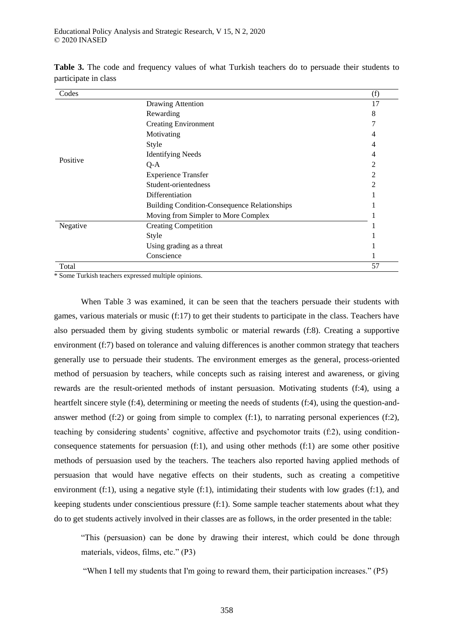| Codes    |                                                     | (f) |
|----------|-----------------------------------------------------|-----|
|          | Drawing Attention                                   | 17  |
|          | Rewarding                                           | 8   |
|          | <b>Creating Environment</b>                         | 7   |
|          | Motivating                                          | 4   |
|          | Style                                               |     |
|          | <b>Identifying Needs</b>                            | 4   |
| Positive | $Q-A$                                               | 2   |
|          | <b>Experience Transfer</b>                          | 2   |
|          | Student-orientedness                                | 2   |
|          | Differentiation                                     |     |
|          | <b>Building Condition-Consequence Relationships</b> |     |
|          | Moving from Simpler to More Complex                 |     |
| Negative | <b>Creating Competition</b>                         |     |
|          | Style                                               |     |
|          | Using grading as a threat                           |     |
|          | Conscience                                          |     |
| Total    |                                                     | 57  |

**Table 3.** The code and frequency values of what Turkish teachers do to persuade their students to participate in class

\* Some Turkish teachers expressed multiple opinions.

When Table 3 was examined, it can be seen that the teachers persuade their students with games, various materials or music (f:17) to get their students to participate in the class. Teachers have also persuaded them by giving students symbolic or material rewards (f:8). Creating a supportive environment (f:7) based on tolerance and valuing differences is another common strategy that teachers generally use to persuade their students. The environment emerges as the general, process-oriented method of persuasion by teachers, while concepts such as raising interest and awareness, or giving rewards are the result-oriented methods of instant persuasion. Motivating students (f:4), using a heartfelt sincere style (f:4), determining or meeting the needs of students (f:4), using the question-andanswer method  $(f:2)$  or going from simple to complex  $(f:1)$ , to narrating personal experiences  $(f:2)$ , teaching by considering students' cognitive, affective and psychomotor traits (f:2), using conditionconsequence statements for persuasion (f:1), and using other methods (f:1) are some other positive methods of persuasion used by the teachers. The teachers also reported having applied methods of persuasion that would have negative effects on their students, such as creating a competitive environment (f:1), using a negative style (f:1), intimidating their students with low grades (f:1), and keeping students under conscientious pressure (f:1). Some sample teacher statements about what they do to get students actively involved in their classes are as follows, in the order presented in the table:

"This (persuasion) can be done by drawing their interest, which could be done through materials, videos, films, etc." (P3)

"When I tell my students that I'm going to reward them, their participation increases." (P5)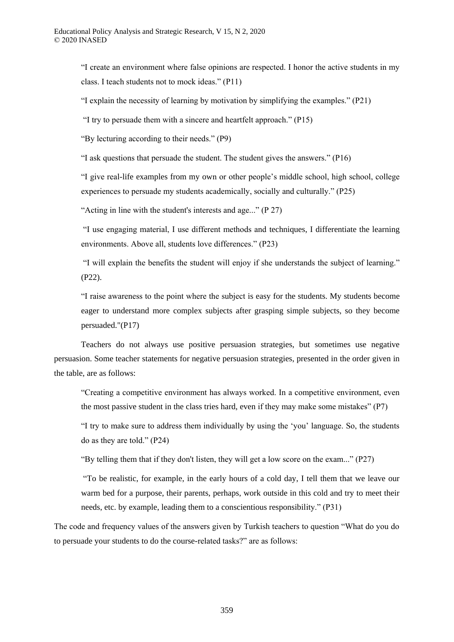"I create an environment where false opinions are respected. I honor the active students in my class. I teach students not to mock ideas." (P11)

"I explain the necessity of learning by motivation by simplifying the examples."  $(P21)$ 

"I try to persuade them with a sincere and heartfelt approach." (P15)

"By lecturing according to their needs." (P9)

"I ask questions that persuade the student. The student gives the answers." (P16)

"I give real-life examples from my own or other people's middle school, high school, college experiences to persuade my students academically, socially and culturally." (P25)

"Acting in line with the student's interests and age..." (P 27)

"I use engaging material, I use different methods and techniques, I differentiate the learning environments. Above all, students love differences." (P23)

"I will explain the benefits the student will enjoy if she understands the subject of learning." (P22).

"I raise awareness to the point where the subject is easy for the students. My students become eager to understand more complex subjects after grasping simple subjects, so they become persuaded."(P17)

Teachers do not always use positive persuasion strategies, but sometimes use negative persuasion. Some teacher statements for negative persuasion strategies, presented in the order given in the table, are as follows:

"Creating a competitive environment has always worked. In a competitive environment, even the most passive student in the class tries hard, even if they may make some mistakes"  $(P7)$ 

"I try to make sure to address them individually by using the 'you' language. So, the students do as they are told." (P24)

"By telling them that if they don't listen, they will get a low score on the exam..." (P27)

"To be realistic, for example, in the early hours of a cold day, I tell them that we leave our warm bed for a purpose, their parents, perhaps, work outside in this cold and try to meet their needs, etc. by example, leading them to a conscientious responsibility." (P31)

The code and frequency values of the answers given by Turkish teachers to question "What do you do to persuade your students to do the course-related tasks?" are as follows: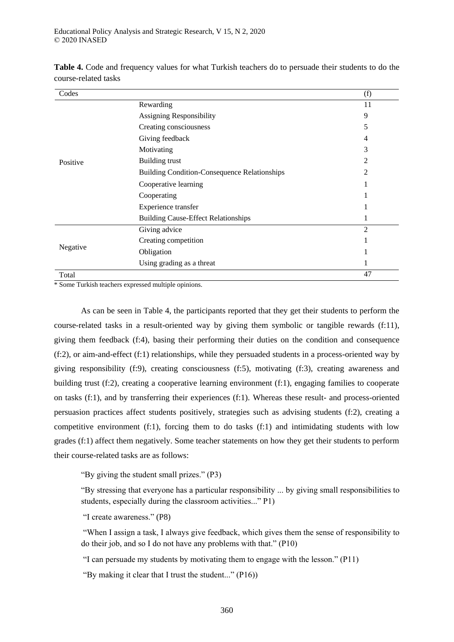| Codes    |                                                     | (f)            |
|----------|-----------------------------------------------------|----------------|
|          | Rewarding                                           | 11             |
|          | Assigning Responsibility                            | 9              |
|          | Creating consciousness                              | 5              |
|          | Giving feedback                                     | $\overline{4}$ |
|          | Motivating                                          | 3              |
| Positive | <b>Building trust</b>                               | 2              |
|          | <b>Building Condition-Consequence Relationships</b> | 2              |
|          | Cooperative learning                                |                |
|          | Cooperating                                         |                |
|          | Experience transfer                                 |                |
|          | <b>Building Cause-Effect Relationships</b>          |                |
|          | Giving advice                                       | $\mathfrak{D}$ |
|          | Creating competition                                |                |
| Negative | Obligation                                          |                |
|          | Using grading as a threat                           |                |
| Total    |                                                     | 47             |

**Table 4.** Code and frequency values for what Turkish teachers do to persuade their students to do the course-related tasks

\* Some Turkish teachers expressed multiple opinions.

As can be seen in Table 4, the participants reported that they get their students to perform the course-related tasks in a result-oriented way by giving them symbolic or tangible rewards (f:11), giving them feedback (f:4), basing their performing their duties on the condition and consequence (f:2), or aim-and-effect (f:1) relationships, while they persuaded students in a process-oriented way by giving responsibility (f:9), creating consciousness (f:5), motivating (f:3), creating awareness and building trust (f:2), creating a cooperative learning environment (f:1), engaging families to cooperate on tasks (f:1), and by transferring their experiences (f:1). Whereas these result- and process-oriented persuasion practices affect students positively, strategies such as advising students (f:2), creating a competitive environment (f:1), forcing them to do tasks (f:1) and intimidating students with low grades (f:1) affect them negatively. Some teacher statements on how they get their students to perform their course-related tasks are as follows:

"By giving the student small prizes." (P3)

"By stressing that everyone has a particular responsibility ... by giving small responsibilities to students, especially during the classroom activities..." P1)

"I create awareness." (P8)

"When I assign a task, I always give feedback, which gives them the sense of responsibility to do their job, and so I do not have any problems with that." (P10)

"I can persuade my students by motivating them to engage with the lesson." (P11)

"By making it clear that I trust the student..." (P16))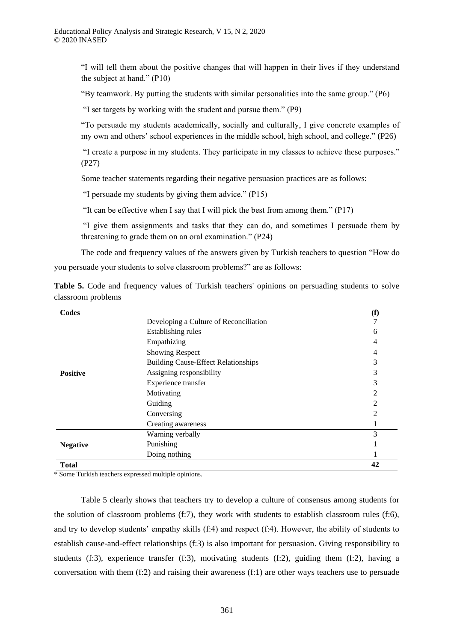"I will tell them about the positive changes that will happen in their lives if they understand the subject at hand." (P10)

"By teamwork. By putting the students with similar personalities into the same group." (P6)

"I set targets by working with the student and pursue them." (P9)

"To persuade my students academically, socially and culturally, I give concrete examples of my own and others' school experiences in the middle school, high school, and college." (P26)

"I create a purpose in my students. They participate in my classes to achieve these purposes." (P27)

Some teacher statements regarding their negative persuasion practices are as follows:

"I persuade my students by giving them advice." (P15)

"It can be effective when I say that I will pick the best from among them." (P17)

"I give them assignments and tasks that they can do, and sometimes I persuade them by threatening to grade them on an oral examination." (P24)

The code and frequency values of the answers given by Turkish teachers to question "How do

you persuade your students to solve classroom problems?" are as follows:

|                    | Table 5. Code and frequency values of Turkish teachers' opinions on persuading students to solve |  |  |  |  |  |
|--------------------|--------------------------------------------------------------------------------------------------|--|--|--|--|--|
| classroom problems |                                                                                                  |  |  |  |  |  |

| Codes           |                                            | (f) |
|-----------------|--------------------------------------------|-----|
|                 | Developing a Culture of Reconciliation     |     |
|                 | Establishing rules                         | 6   |
|                 | Empathizing                                | 4   |
|                 | <b>Showing Respect</b>                     |     |
|                 | <b>Building Cause-Effect Relationships</b> | 3   |
| <b>Positive</b> | Assigning responsibility                   | 3   |
|                 | Experience transfer                        |     |
|                 | Motivating                                 |     |
|                 | Guiding                                    | 2   |
|                 | Conversing                                 |     |
|                 | Creating awareness                         |     |
|                 | Warning verbally                           | 3   |
| <b>Negative</b> | Punishing                                  |     |
|                 | Doing nothing                              |     |
| <b>Total</b>    |                                            | 42  |

\* Some Turkish teachers expressed multiple opinions.

Table 5 clearly shows that teachers try to develop a culture of consensus among students for the solution of classroom problems (f:7), they work with students to establish classroom rules (f:6), and try to develop students' empathy skills (f:4) and respect (f:4). However, the ability of students to establish cause-and-effect relationships (f:3) is also important for persuasion. Giving responsibility to students (f:3), experience transfer (f:3), motivating students (f:2), guiding them (f:2), having a conversation with them (f:2) and raising their awareness (f:1) are other ways teachers use to persuade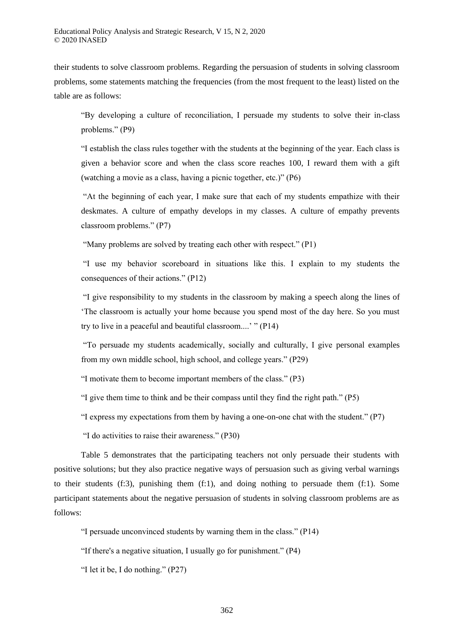their students to solve classroom problems. Regarding the persuasion of students in solving classroom problems, some statements matching the frequencies (from the most frequent to the least) listed on the table are as follows:

"By developing a culture of reconciliation, I persuade my students to solve their in-class problems." (P9)

"I establish the class rules together with the students at the beginning of the year. Each class is given a behavior score and when the class score reaches 100, I reward them with a gift (watching a movie as a class, having a picnic together, etc.)" (P6)

"At the beginning of each year, I make sure that each of my students empathize with their deskmates. A culture of empathy develops in my classes. A culture of empathy prevents classroom problems." (P7)

"Many problems are solved by treating each other with respect." (P1)

"I use my behavior scoreboard in situations like this. I explain to my students the consequences of their actions." (P12)

"I give responsibility to my students in the classroom by making a speech along the lines of 'The classroom is actually your home because you spend most of the day here. So you must try to live in a peaceful and beautiful classroom....' " (P14)

"To persuade my students academically, socially and culturally, I give personal examples from my own middle school, high school, and college years." (P29)

"I motivate them to become important members of the class." (P3)

"I give them time to think and be their compass until they find the right path." (P5)

"I express my expectations from them by having a one-on-one chat with the student." (P7)

"I do activities to raise their awareness." (P30)

Table 5 demonstrates that the participating teachers not only persuade their students with positive solutions; but they also practice negative ways of persuasion such as giving verbal warnings to their students (f:3), punishing them (f:1), and doing nothing to persuade them (f:1). Some participant statements about the negative persuasion of students in solving classroom problems are as follows:

"I persuade unconvinced students by warning them in the class." (P14)

"If there's a negative situation, I usually go for punishment." (P4)

"I let it be, I do nothing." (P27)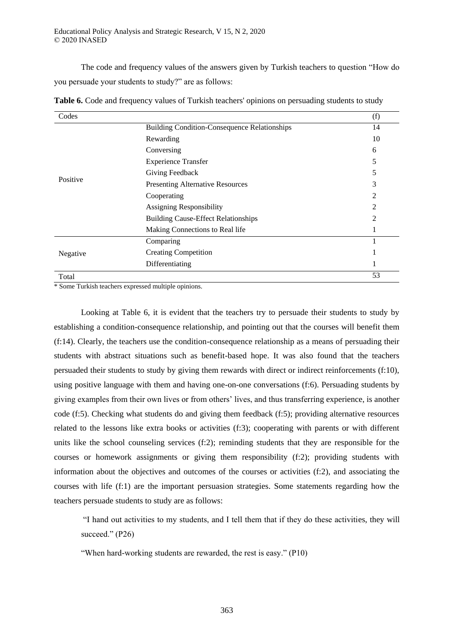The code and frequency values of the answers given by Turkish teachers to question "How do you persuade your students to study?" are as follows:

| Codes    |                                                     | (f) |
|----------|-----------------------------------------------------|-----|
|          | <b>Building Condition-Consequence Relationships</b> | 14  |
|          | Rewarding                                           | 10  |
|          | Conversing                                          | 6   |
|          | <b>Experience Transfer</b>                          | 5   |
|          | Giving Feedback                                     | 5   |
| Positive | <b>Presenting Alternative Resources</b>             | 3   |
|          | Cooperating                                         | 2   |
|          | Assigning Responsibility                            | 2   |
|          | <b>Building Cause-Effect Relationships</b>          | 2   |
|          | Making Connections to Real life                     |     |
|          | Comparing                                           |     |
| Negative | <b>Creating Competition</b>                         |     |
|          | Differentiating                                     |     |
| Total    |                                                     | 53  |

**Table 6.** Code and frequency values of Turkish teachers' opinions on persuading students to study

\* Some Turkish teachers expressed multiple opinions.

Looking at Table 6, it is evident that the teachers try to persuade their students to study by establishing a condition-consequence relationship, and pointing out that the courses will benefit them (f:14). Clearly, the teachers use the condition-consequence relationship as a means of persuading their students with abstract situations such as benefit-based hope. It was also found that the teachers persuaded their students to study by giving them rewards with direct or indirect reinforcements (f:10), using positive language with them and having one-on-one conversations (f:6). Persuading students by giving examples from their own lives or from others' lives, and thus transferring experience, is another code (f:5). Checking what students do and giving them feedback (f:5); providing alternative resources related to the lessons like extra books or activities (f:3); cooperating with parents or with different units like the school counseling services (f:2); reminding students that they are responsible for the courses or homework assignments or giving them responsibility (f:2); providing students with information about the objectives and outcomes of the courses or activities (f:2), and associating the courses with life (f:1) are the important persuasion strategies. Some statements regarding how the teachers persuade students to study are as follows:

"I hand out activities to my students, and I tell them that if they do these activities, they will succeed." (P26)

"When hard-working students are rewarded, the rest is easy." (P10)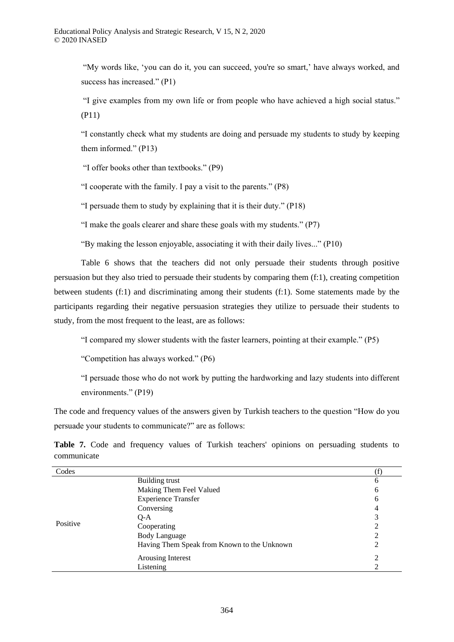"My words like, 'you can do it, you can succeed, you're so smart,' have always worked, and success has increased." (P1)

"I give examples from my own life or from people who have achieved a high social status." (P11)

"I constantly check what my students are doing and persuade my students to study by keeping them informed." (P13)

"I offer books other than textbooks." (P9)

"I cooperate with the family. I pay a visit to the parents." (P8)

"I persuade them to study by explaining that it is their duty." (P18)

"I make the goals clearer and share these goals with my students." (P7)

"By making the lesson enjoyable, associating it with their daily lives..." (P10)

Table 6 shows that the teachers did not only persuade their students through positive persuasion but they also tried to persuade their students by comparing them (f:1), creating competition between students (f:1) and discriminating among their students (f:1). Some statements made by the participants regarding their negative persuasion strategies they utilize to persuade their students to study, from the most frequent to the least, are as follows:

"I compared my slower students with the faster learners, pointing at their example." (P5)

"Competition has always worked." (P6)

"I persuade those who do not work by putting the hardworking and lazy students into different environments." (P19)

The code and frequency values of the answers given by Turkish teachers to the question "How do you persuade your students to communicate?" are as follows:

**Table 7.** Code and frequency values of Turkish teachers' opinions on persuading students to communicate

| Codes    |                                             |   |
|----------|---------------------------------------------|---|
|          | Building trust                              | 6 |
|          | Making Them Feel Valued                     | 6 |
|          | <b>Experience Transfer</b>                  | 6 |
|          | Conversing                                  | 4 |
|          | $O-A$                                       | 3 |
| Positive | Cooperating                                 | ∍ |
|          | <b>Body Language</b>                        |   |
|          | Having Them Speak from Known to the Unknown |   |
|          | Arousing Interest                           | ∍ |
|          | Listening                                   |   |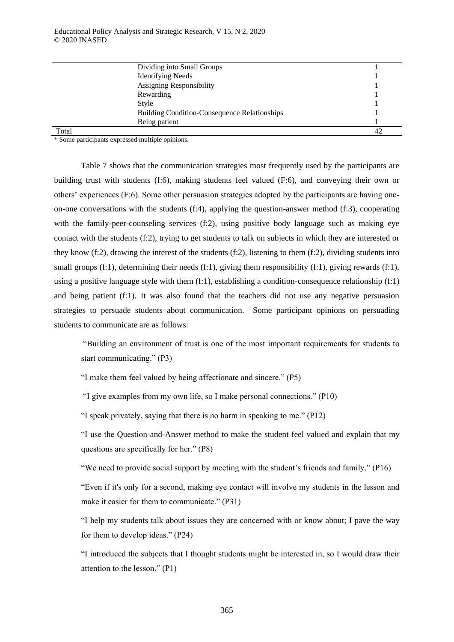|       | Dividing into Small Groups                          |  |
|-------|-----------------------------------------------------|--|
|       | <b>Identifying Needs</b>                            |  |
|       | <b>Assigning Responsibility</b>                     |  |
|       | Rewarding                                           |  |
|       | Style                                               |  |
|       | <b>Building Condition-Consequence Relationships</b> |  |
|       | Being patient                                       |  |
| Total |                                                     |  |

\* Some participants expressed multiple opinions.

Table 7 shows that the communication strategies most frequently used by the participants are building trust with students (f:6), making students feel valued (F:6), and conveying their own or others' experiences (F:6). Some other persuasion strategies adopted by the participants are having oneon-one conversations with the students (f:4), applying the question-answer method (f:3), cooperating with the family-peer-counseling services (f:2), using positive body language such as making eye contact with the students (f:2), trying to get students to talk on subjects in which they are interested or they know (f:2), drawing the interest of the students (f:2), listening to them (f:2), dividing students into small groups (f:1), determining their needs (f:1), giving them responsibility (f:1), giving rewards (f:1), using a positive language style with them (f:1), establishing a condition-consequence relationship (f:1) and being patient (f:1). It was also found that the teachers did not use any negative persuasion strategies to persuade students about communication. Some participant opinions on persuading students to communicate are as follows:

"Building an environment of trust is one of the most important requirements for students to start communicating." (P3)

"I make them feel valued by being affectionate and sincere." (P5)

"I give examples from my own life, so I make personal connections." (P10)

"I speak privately, saying that there is no harm in speaking to me." (P12)

"I use the Question-and-Answer method to make the student feel valued and explain that my questions are specifically for her." (P8)

"We need to provide social support by meeting with the student's friends and family." (P16)

"Even if it's only for a second, making eye contact will involve my students in the lesson and make it easier for them to communicate." (P31)

"I help my students talk about issues they are concerned with or know about; I pave the way for them to develop ideas." (P24)

"I introduced the subjects that I thought students might be interested in, so I would draw their attention to the lesson." (P1)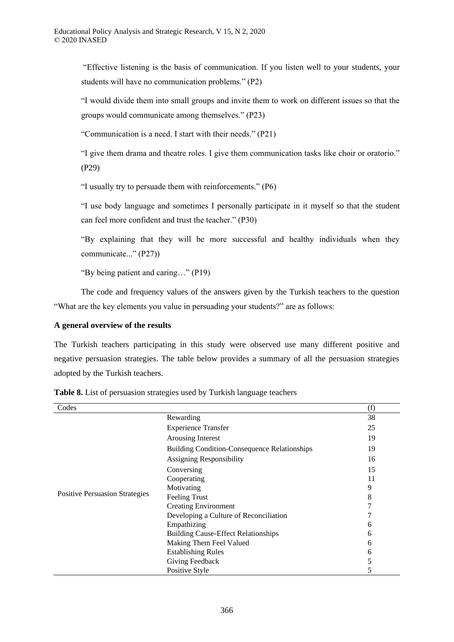"Effective listening is the basis of communication. If you listen well to your students, your students will have no communication problems." (P2)

"I would divide them into small groups and invite them to work on different issues so that the groups would communicate among themselves." (P23)

"Communication is a need. I start with their needs." (P21)

"I give them drama and theatre roles. I give them communication tasks like choir or oratorio." (P29)

"I usually try to persuade them with reinforcements." (P6)

"I use body language and sometimes I personally participate in it myself so that the student can feel more confident and trust the teacher." (P30)

"By explaining that they will be more successful and healthy individuals when they communicate..." (P27))

"By being patient and caring…" (P19)

The code and frequency values of the answers given by the Turkish teachers to the question "What are the key elements you value in persuading your students?" are as follows:

# **A general overview of the results**

The Turkish teachers participating in this study were observed use many different positive and negative persuasion strategies. The table below provides a summary of all the persuasion strategies adopted by the Turkish teachers.

| Codes                                 |                                                     | (f) |
|---------------------------------------|-----------------------------------------------------|-----|
|                                       | Rewarding                                           | 38  |
|                                       | <b>Experience Transfer</b>                          | 25  |
|                                       | Arousing Interest                                   | 19  |
|                                       | <b>Building Condition-Consequence Relationships</b> | 19  |
|                                       | <b>Assigning Responsibility</b>                     | 16  |
|                                       | Conversing                                          | 15  |
|                                       | Cooperating                                         | 11  |
|                                       | Motivating                                          | 9   |
| <b>Positive Persuasion Strategies</b> | <b>Feeling Trust</b>                                | 8   |
|                                       | <b>Creating Environment</b>                         |     |
|                                       | Developing a Culture of Reconciliation              |     |
|                                       | Empathizing                                         | n   |
|                                       | <b>Building Cause-Effect Relationships</b>          | h.  |
|                                       | Making Them Feel Valued                             | h.  |
|                                       | <b>Establishing Rules</b>                           | 6   |
|                                       | Giving Feedback                                     | 5   |
|                                       | Positive Style                                      |     |

**Table 8.** List of persuasion strategies used by Turkish language teachers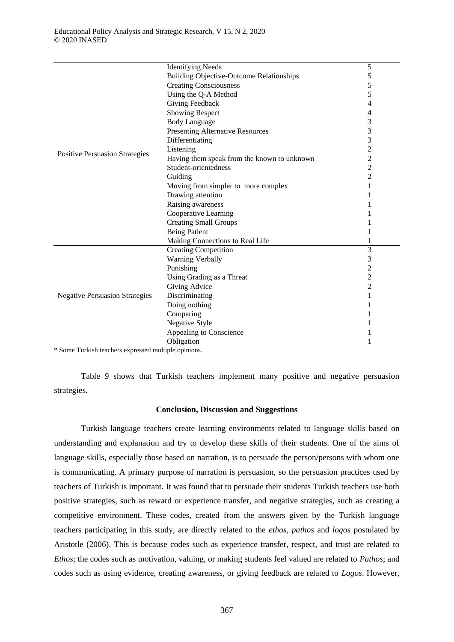|                                       | <b>Identifying Needs</b>                        | 5              |
|---------------------------------------|-------------------------------------------------|----------------|
|                                       | <b>Building Objective-Outcome Relationships</b> | 5              |
|                                       | <b>Creating Consciousness</b>                   | 5              |
|                                       | Using the Q-A Method                            | 5              |
|                                       | <b>Giving Feedback</b>                          | 4              |
|                                       | <b>Showing Respect</b>                          | 4              |
|                                       | <b>Body Language</b>                            | 3              |
|                                       | Presenting Alternative Resources                | 3              |
|                                       | Differentiating                                 | 3              |
|                                       | Listening                                       | $\overline{c}$ |
| <b>Positive Persuasion Strategies</b> | Having them speak from the known to unknown     | $\overline{c}$ |
|                                       | Student-orientedness                            | $\overline{c}$ |
|                                       | Guiding                                         | $\overline{2}$ |
|                                       | Moving from simpler to more complex             |                |
|                                       | Drawing attention                               |                |
|                                       | Raising awareness                               |                |
|                                       | Cooperative Learning                            |                |
|                                       | <b>Creating Small Groups</b>                    |                |
|                                       | <b>Being Patient</b>                            |                |
|                                       | Making Connections to Real Life                 |                |
|                                       | <b>Creating Competition</b>                     | 3              |
|                                       | <b>Warning Verbally</b>                         | 3              |
|                                       | Punishing                                       | $\overline{c}$ |
|                                       | Using Grading as a Threat                       | $\overline{2}$ |
|                                       | Giving Advice                                   | $\overline{c}$ |
| <b>Negative Persuasion Strategies</b> | Discriminating                                  | 1              |
|                                       | Doing nothing                                   |                |
|                                       | Comparing                                       |                |
|                                       | Negative Style                                  |                |
|                                       | Appealing to Conscience                         |                |
|                                       | Obligation                                      |                |
| $\cdots$                              |                                                 |                |

\* Some Turkish teachers expressed multiple opinions.

Table 9 shows that Turkish teachers implement many positive and negative persuasion strategies.

## **Conclusion, Discussion and Suggestions**

Turkish language teachers create learning environments related to language skills based on understanding and explanation and try to develop these skills of their students. One of the aims of language skills, especially those based on narration, is to persuade the person/persons with whom one is communicating. A primary purpose of narration is persuasion, so the persuasion practices used by teachers of Turkish is important. It was found that to persuade their students Turkish teachers use both positive strategies, such as reward or experience transfer, and negative strategies, such as creating a competitive environment. These codes, created from the answers given by the Turkish language teachers participating in this study, are directly related to the *ethos, pathos* and *logos* postulated by Aristotle (2006). This is because codes such as experience transfer, respect, and trust are related to *Ethos*; the codes such as motivation, valuing, or making students feel valued are related to *Pathos*; and codes such as using evidence, creating awareness, or giving feedback are related to *Logos*. However,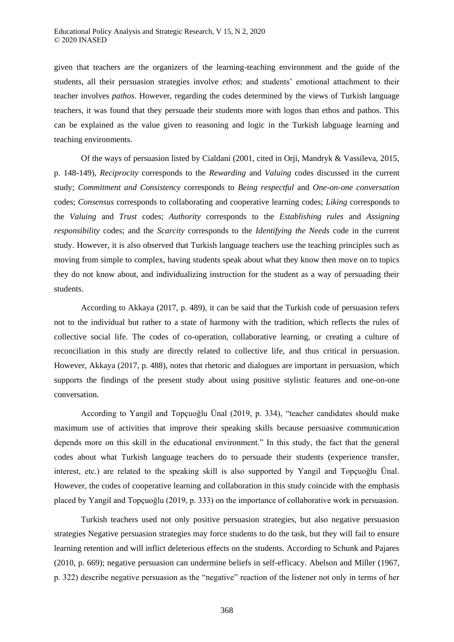given that teachers are the organizers of the learning-teaching environment and the guide of the students, all their persuasion strategies involve *ethos*; and students' emotional attachment to their teacher involves *pathos*. However, regarding the codes determined by the views of Turkish language teachers, it was found that they persuade their students more with logos than ethos and pathos. This can be explained as the value given to reasoning and logic in the Turkish labguage learning and teaching environments.

Of the ways of persuasion listed by Cialdani (2001, cited in Orji, Mandryk & Vassileva, 2015, p. 148-149), *Reciprocity* corresponds to the *Rewarding* and *Valuing* codes discussed in the current study; *Commitment and Consistency* corresponds to *Being respectful* and *One-on-one conversation* codes; *Consensus* corresponds to collaborating and cooperative learning codes; *Liking* corresponds to the *Valuing* and *Trust* codes; *Authority* corresponds to the *Establishing rules* and *Assigning responsibility* codes; and the *Scarcity* corresponds to the *Identifying the Needs* code in the current study. However, it is also observed that Turkish language teachers use the teaching principles such as moving from simple to complex, having students speak about what they know then move on to topics they do not know about, and individualizing instruction for the student as a way of persuading their students.

According to Akkaya (2017, p. 489), it can be said that the Turkish code of persuasion refers not to the individual but rather to a state of harmony with the tradition, which reflects the rules of collective social life. The codes of co-operation, collaborative learning, or creating a culture of reconciliation in this study are directly related to collective life, and thus critical in persuasion. However, Akkaya (2017, p. 488), notes that rhetoric and dialogues are important in persuasion, which supports the findings of the present study about using positive stylistic features and one-on-one conversation.

According to Yangil and Topçuoğlu Ünal (2019, p. 334), "teacher candidates should make maximum use of activities that improve their speaking skills because persuasive communication depends more on this skill in the educational environment." In this study, the fact that the general codes about what Turkish language teachers do to persuade their students (experience transfer, interest, etc.) are related to the speaking skill is also supported by Yangil and Topçuoğlu Ünal. However, the codes of cooperative learning and collaboration in this study coincide with the emphasis placed by Yangil and Topçuoğlu (2019, p. 333) on the importance of collaborative work in persuasion.

Turkish teachers used not only positive persuasion strategies, but also negative persuasion strategies Negative persuasion strategies may force students to do the task, but they will fail to ensure learning retention and will inflict deleterious effects on the students. According to Schunk and Pajares (2010, p. 669); negative persuasion can undermine beliefs in self-efficacy. Abelson and Miller (1967, p. 322) describe negative persuasion as the "negative" reaction of the listener not only in terms of her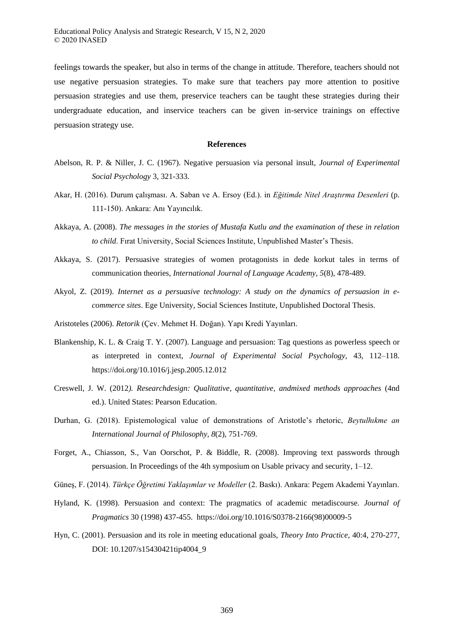feelings towards the speaker, but also in terms of the change in attitude. Therefore, teachers should not use negative persuasion strategies. To make sure that teachers pay more attention to positive persuasion strategies and use them, preservice teachers can be taught these strategies during their undergraduate education, and inservice teachers can be given in-service trainings on effective persuasion strategy use.

#### **References**

- Abelson, R. P. & Niller, J. C. (1967). Negative persuasion via personal insult, *Journal of Experimental Social Psychology* 3, 321-333.
- Akar, H. (2016). Durum çalışması. A. Saban ve A. Ersoy (Ed.). in *Eğitimde Nitel Araştırma Desenleri* (p. 111-150). Ankara: Anı Yayıncılık.
- Akkaya, A. (2008). *The messages in the stories of Mustafa Kutlu and the examination of these in relation to child*. Fırat University, Social Sciences Institute, Unpublished Master's Thesis.
- Akkaya, S. (2017). Persuasive strategies of women protagonists in dede korkut tales in terms of communication theories, *International Journal of Language Academy*, *5*(8), 478-489.
- Akyol, Z. (2019). *Internet as a persuasive technology: A study on the dynamics of persuasion in ecommerce sites*. Ege University, Social Sciences Institute, Unpublished Doctoral Thesis.
- Aristoteles (2006). *Retorik* (Çev. Mehmet H. Doğan). Yapı Kredi Yayınları.
- Blankenship, K. L. & Craig T. Y. (2007). Language and persuasion: Tag questions as powerless speech or as interpreted in context, *Journal of Experimental Social Psychology,* 43, 112–118. https://doi.org/10.1016/j.jesp.2005.12.012
- Creswell, J. W. (2012*). Researchdesign: Qualitative, quantitative, andmixed methods approaches* (4nd ed.). United States: Pearson Education.
- Durhan, G. (2018). Epistemological value of demonstrations of Aristotle's rhetoric, *Beytulhıkme an International Journal of Philosophy*, *8*(2), 751-769.
- Forget, A., Chiasson, S., Van Oorschot, P. & Biddle, R. (2008). Improving text passwords through persuasion. In Proceedings of the 4th symposium on Usable privacy and security, 1–12.
- Güneş, F. (2014). *ürkçe Öğretimi Yaklaşımlar ve Modeller* (2. Baskı). Ankara: Pegem Akademi Yayınları.
- Hyland, K. (1998). Persuasion and context: The pragmatics of academic metadiscourse. *Journal of Pragmatics* 30 (1998) 437-455. https://doi.org/10.1016/S0378-2166(98)00009-5
- Hyn, C. (2001). Persuasion and its role in meeting educational goals, *Theory Into Practice*, 40:4, 270-277, DOI: 10.1207/s15430421tip4004\_9